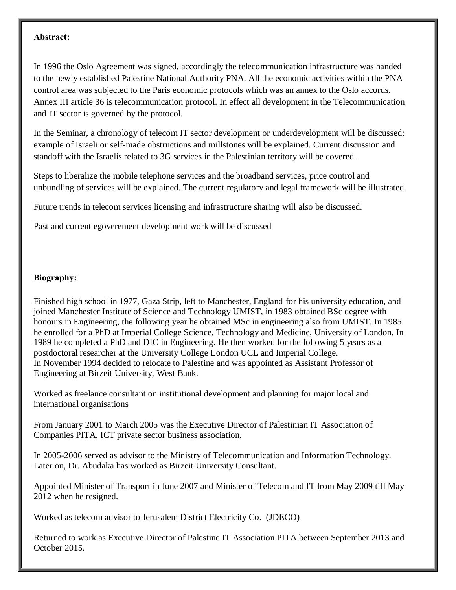## **Abstract:**

In 1996 the Oslo Agreement was signed, accordingly the telecommunication infrastructure was handed to the newly established Palestine National Authority PNA. All the economic activities within the PNA control area was subjected to the Paris economic protocols which was an annex to the Oslo accords. Annex III article 36 is telecommunication protocol. In effect all development in the Telecommunication and IT sector is governed by the protocol.

In the Seminar, a chronology of telecom IT sector development or underdevelopment will be discussed; example of Israeli or self-made obstructions and millstones will be explained. Current discussion and standoff with the Israelis related to 3G services in the Palestinian territory will be covered.

Steps to liberalize the mobile telephone services and the broadband services, price control and unbundling of services will be explained. The current regulatory and legal framework will be illustrated.

Future trends in telecom services licensing and infrastructure sharing will also be discussed.

Past and current egoverement development work will be discussed

## **Biography:**

Finished high school in 1977, Gaza Strip, left to Manchester, England for his university education, and joined Manchester Institute of Science and Technology UMIST, in 1983 obtained BSc degree with honours in Engineering, the following year he obtained MSc in engineering also from UMIST. In 1985 he enrolled for a PhD at Imperial College Science, Technology and Medicine, University of London. In 1989 he completed a PhD and DIC in Engineering. He then worked for the following 5 years as a postdoctoral researcher at the University College London UCL and Imperial College. In November 1994 decided to relocate to Palestine and was appointed as Assistant Professor of Engineering at Birzeit University, West Bank.

Worked as freelance consultant on institutional development and planning for major local and international organisations

From January 2001 to March 2005 was the Executive Director of Palestinian IT Association of Companies PITA, ICT private sector business association.

In 2005-2006 served as advisor to the Ministry of Telecommunication and Information Technology. Later on, Dr. Abudaka has worked as Birzeit University Consultant.

Appointed Minister of Transport in June 2007 and Minister of Telecom and IT from May 2009 till May 2012 when he resigned.

Worked as telecom advisor to Jerusalem District Electricity Co. (JDECO)

Returned to work as Executive Director of Palestine IT Association PITA between September 2013 and October 2015.